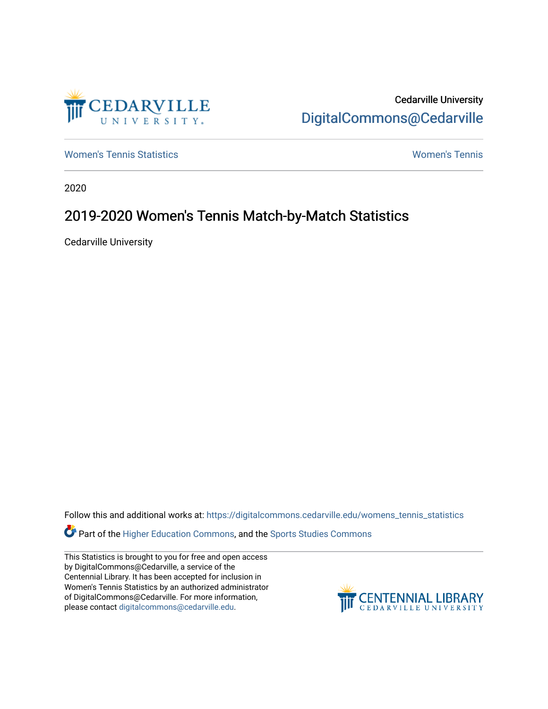

Cedarville University [DigitalCommons@Cedarville](https://digitalcommons.cedarville.edu/) 

[Women's Tennis Statistics](https://digitalcommons.cedarville.edu/womens_tennis_statistics) [Women's Tennis](https://digitalcommons.cedarville.edu/womens_tennis) 

2020

## 2019-2020 Women's Tennis Match-by-Match Statistics

Cedarville University

Follow this and additional works at: [https://digitalcommons.cedarville.edu/womens\\_tennis\\_statistics](https://digitalcommons.cedarville.edu/womens_tennis_statistics?utm_source=digitalcommons.cedarville.edu%2Fwomens_tennis_statistics%2F40&utm_medium=PDF&utm_campaign=PDFCoverPages) 

Part of the [Higher Education Commons,](http://network.bepress.com/hgg/discipline/1245?utm_source=digitalcommons.cedarville.edu%2Fwomens_tennis_statistics%2F40&utm_medium=PDF&utm_campaign=PDFCoverPages) and the [Sports Studies Commons](http://network.bepress.com/hgg/discipline/1198?utm_source=digitalcommons.cedarville.edu%2Fwomens_tennis_statistics%2F40&utm_medium=PDF&utm_campaign=PDFCoverPages) 

This Statistics is brought to you for free and open access by DigitalCommons@Cedarville, a service of the Centennial Library. It has been accepted for inclusion in Women's Tennis Statistics by an authorized administrator of DigitalCommons@Cedarville. For more information, please contact [digitalcommons@cedarville.edu](mailto:digitalcommons@cedarville.edu).